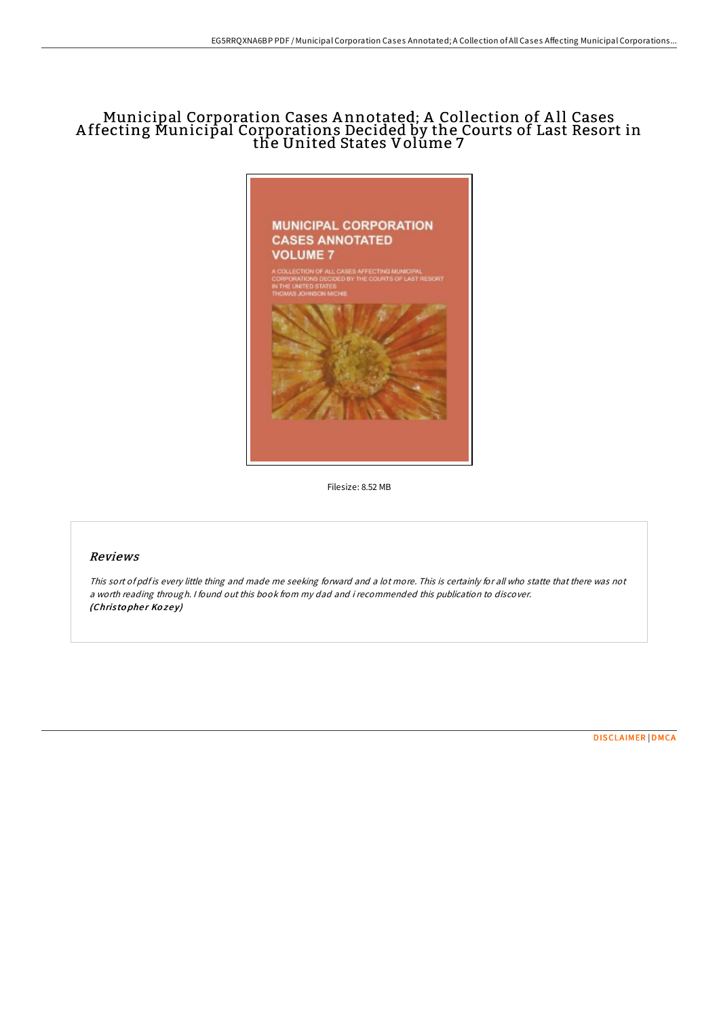## Municipal Corporation Cases A nnotated; A Collection of A ll Cases A ffecting Municipal Corporations Decided by the Courts of Last Resort in the United States Volúme 7



Filesize: 8.52 MB

## Reviews

This sort of pdf is every little thing and made me seeking forward and <sup>a</sup> lot more. This is certainly for all who statte that there was not <sup>a</sup> worth reading through. <sup>I</sup> found out this book from my dad and i recommended this publication to discover. (Christopher Kozey)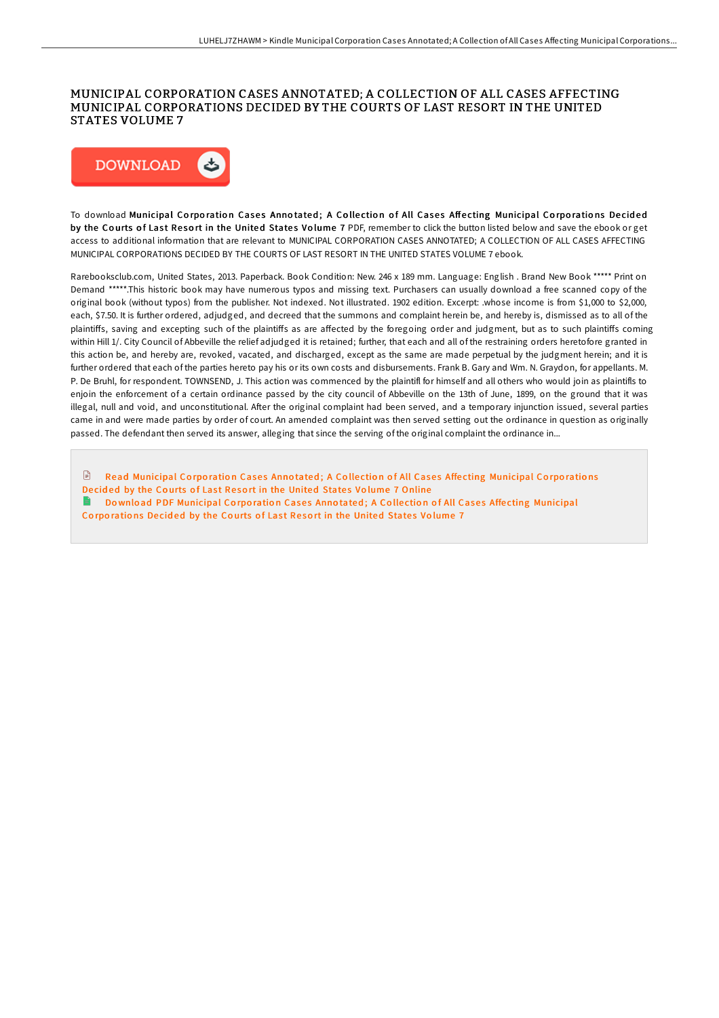## MUNICIPAL CORPORATION CASES ANNOTATED; A COLLECTION OF ALL CASES AFFECTING MUNICIPAL CORPORATIONS DECIDED BY THE COURTS OF LAST RESORT IN THE UNITED STATES VOLUME 7



To download Municipal Corporation Cases Annotated; A Collection of All Cases Affecting Municipal Corporations Decided by the Courts of Last Resort in the United States Volume 7 PDF, remember to click the button listed below and save the ebook or get access to additional information that are relevant to MUNICIPAL CORPORATION CASES ANNOTATED; A COLLECTION OF ALL CASES AFFECTING MUNICIPAL CORPORATIONS DECIDED BY THE COURTS OF LAST RESORT IN THE UNITED STATES VOLUME 7 ebook.

Rarebooksclub.com, United States, 2013. Paperback. Book Condition: New. 246 x 189 mm. Language: English . Brand New Book \*\*\*\*\* Print on Demand \*\*\*\*\*.This historic book may have numerous typos and missing text. Purchasers can usually download a free scanned copy of the original book (without typos) from the publisher. Not indexed. Not illustrated. 1902 edition. Excerpt: .whose income is from \$1,000 to \$2,000, each, \$7.50. It is further ordered, adjudged, and decreed that the summons and complaint herein be, and hereby is, dismissed as to all of the plaintiffs, saving and excepting such of the plaintiffs as are affected by the foregoing order and judgment, but as to such plaintiffs coming within Hill 1/. City Council of Abbeville the relief adjudged it is retained; further, that each and all of the restraining orders heretofore granted in this action be, and hereby are, revoked, vacated, and discharged, except as the same are made perpetual by the judgment herein; and it is further ordered that each of the parties hereto pay his or its own costs and disbursements. Frank B. Gary and Wm. N. Graydon, for appellants. M. P. De Bruhl, for respondent. TOWNSEND, J. This action was commenced by the plaintifl for himself and all others who would join as plaintifls to enjoin the enforcement of a certain ordinance passed by the city council of Abbeville on the 13th of June, 1899, on the ground that it was illegal, null and void, and unconstitutional. AKer the original complaint had been served, and a temporary injunction issued, several parties came in and were made parties by order of court. An amended complaint was then served setting out the ordinance in question as originally passed. The defendant then served its answer, alleging that since the serving of the original complaint the ordinance in...

 $\Box$ Read [Municipal](http://almighty24.tech/municipal-corporation-cases-annotated-a-collecti.html) Corporation Cases Annotated; A Collection of All Cases Affecting Municipal Corporations Decided by the Courts of Last Resort in the United States Volume 7 Online

Download PDF [Municipal](http://almighty24.tech/municipal-corporation-cases-annotated-a-collecti.html) Corporation Cases Annotated: A Collection of All Cases Affecting Municipal Corporations Decided by the Courts of Last Resort in the United States Volume 7